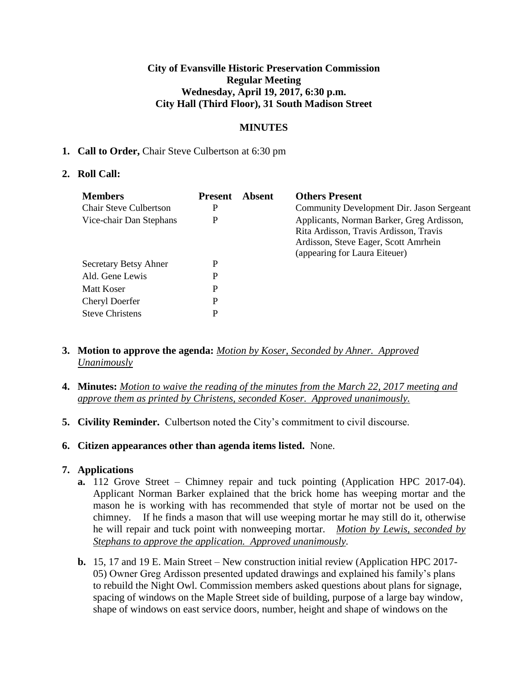### **City of Evansville Historic Preservation Commission Regular Meeting Wednesday, April 19, 2017, 6:30 p.m. City Hall (Third Floor), 31 South Madison Street**

## **MINUTES**

### **1. Call to Order,** Chair Steve Culbertson at 6:30 pm

### **2. Roll Call:**

| <b>Members</b><br><b>Chair Steve Culbertson</b><br>Vice-chair Dan Stephans | <b>Present</b><br>P<br>P | Absent | <b>Others Present</b><br>Community Development Dir. Jason Sergeant<br>Applicants, Norman Barker, Greg Ardisson,<br>Rita Ardisson, Travis Ardisson, Travis<br>Ardisson, Steve Eager, Scott Amrhein |
|----------------------------------------------------------------------------|--------------------------|--------|---------------------------------------------------------------------------------------------------------------------------------------------------------------------------------------------------|
| Secretary Betsy Ahner<br>Ald. Gene Lewis                                   | P<br>P                   |        | (appearing for Laura Eiteuer)                                                                                                                                                                     |
| <b>Matt Koser</b><br>Cheryl Doerfer<br><b>Steve Christens</b>              | P<br>P<br>P              |        |                                                                                                                                                                                                   |

- **3. Motion to approve the agenda:** *Motion by Koser, Seconded by Ahner. Approved Unanimously*
- **4. Minutes:** *Motion to waive the reading of the minutes from the March 22, 2017 meeting and approve them as printed by Christens, seconded Koser. Approved unanimously.*
- **5. Civility Reminder.** Culbertson noted the City's commitment to civil discourse.
- **6. Citizen appearances other than agenda items listed.** None.

### **7. Applications**

- **a.** 112 Grove Street Chimney repair and tuck pointing (Application HPC 2017-04). Applicant Norman Barker explained that the brick home has weeping mortar and the mason he is working with has recommended that style of mortar not be used on the chimney. If he finds a mason that will use weeping mortar he may still do it, otherwise he will repair and tuck point with nonweeping mortar. *Motion by Lewis, seconded by Stephans to approve the application. Approved unanimously.*
- **b.** 15, 17 and 19 E. Main Street New construction initial review (Application HPC 2017- 05) Owner Greg Ardisson presented updated drawings and explained his family's plans to rebuild the Night Owl. Commission members asked questions about plans for signage, spacing of windows on the Maple Street side of building, purpose of a large bay window, shape of windows on east service doors, number, height and shape of windows on the